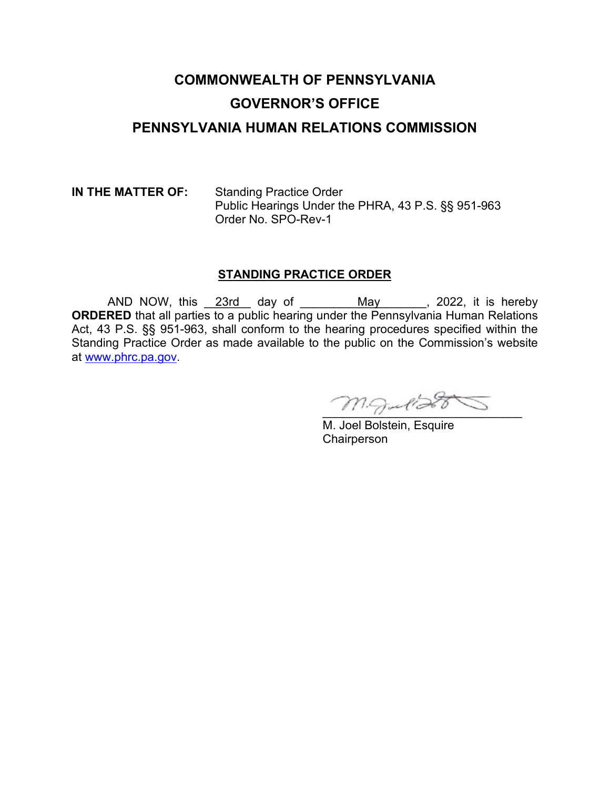# **COMMONWEALTH OF PENNSYLVANIA GOVERNOR'S OFFICE PENNSYLVANIA HUMAN RELATIONS COMMISSION**

**IN THE MATTER OF:** Standing Practice Order Public Hearings Under the PHRA, 43 P.S. §§ 951-963 Order No. SPO-Rev-1

#### **STANDING PRACTICE ORDER**

AND NOW, this \_\_23rd\_\_ day of \_\_\_\_\_\_\_\_\_\_May \_\_\_\_\_\_, 2022, it is hereby **ORDERED** that all parties to a public hearing under the Pennsylvania Human Relations Act, 43 P.S. §§ 951-963, shall conform to the hearing procedures specified within the Standing Practice Order as made available to the public on the Commission's website at [www.phrc.pa.gov.](http://www.phrc.pa.gov/)

 $m$ gulia

M. Joel Bolstein, Esquire **Chairperson**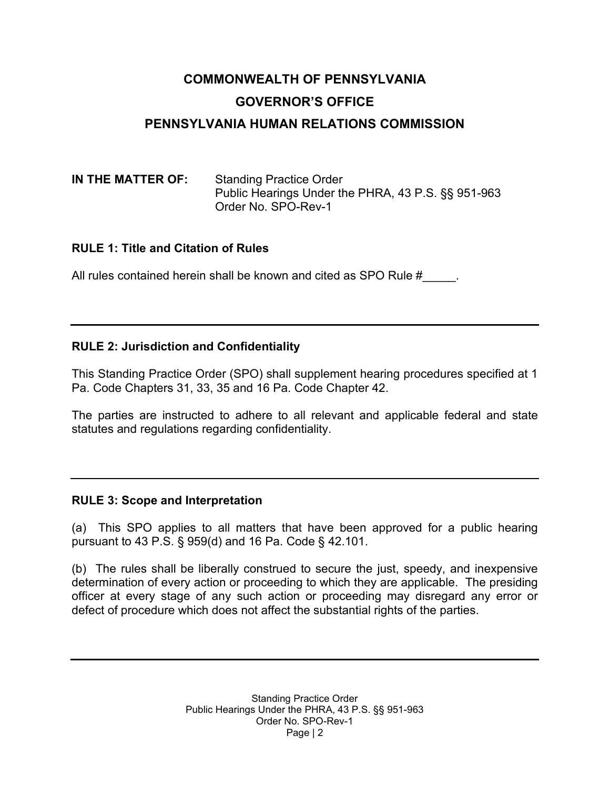# **COMMONWEALTH OF PENNSYLVANIA GOVERNOR'S OFFICE PENNSYLVANIA HUMAN RELATIONS COMMISSION**

#### **IN THE MATTER OF:** Standing Practice Order Public Hearings Under the PHRA, 43 P.S. §§ 951-963 Order No. SPO-Rev-1

### **RULE 1: Title and Citation of Rules**

All rules contained herein shall be known and cited as SPO Rule #

# **RULE 2: Jurisdiction and Confidentiality**

This Standing Practice Order (SPO) shall supplement hearing procedures specified at 1 Pa. Code Chapters 31, 33, 35 and 16 Pa. Code Chapter 42.

The parties are instructed to adhere to all relevant and applicable federal and state statutes and regulations regarding confidentiality.

### **RULE 3: Scope and Interpretation**

(a) This SPO applies to all matters that have been approved for a public hearing pursuant to 43 P.S. § 959(d) and 16 Pa. Code § 42.101.

(b) The rules shall be liberally construed to secure the just, speedy, and inexpensive determination of every action or proceeding to which they are applicable. The presiding officer at every stage of any such action or proceeding may disregard any error or defect of procedure which does not affect the substantial rights of the parties.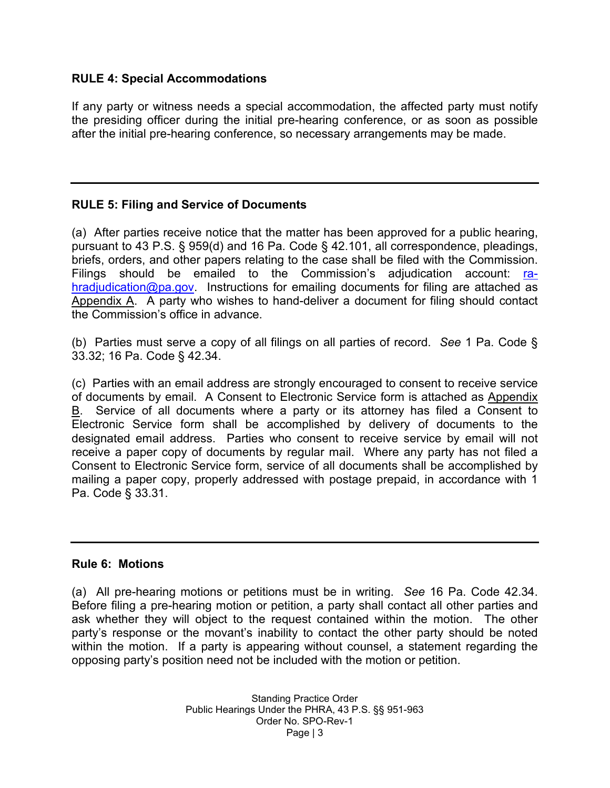#### **RULE 4: Special Accommodations**

If any party or witness needs a special accommodation, the affected party must notify the presiding officer during the initial pre-hearing conference, or as soon as possible after the initial pre-hearing conference, so necessary arrangements may be made.

### **RULE 5: Filing and Service of Documents**

(a) After parties receive notice that the matter has been approved for a public hearing, pursuant to 43 P.S. § 959(d) and 16 Pa. Code § 42.101, all correspondence, pleadings, briefs, orders, and other papers relating to the case shall be filed with the Commission. Filings should be emailed to the Commission's adjudication account: [ra](mailto:ra-hradjudication@pa.gov)[hradjudication@pa.gov.](mailto:ra-hradjudication@pa.gov) Instructions for emailing documents for filing are attached as Appendix A. A party who wishes to hand-deliver a document for filing should contact the Commission's office in advance.

(b) Parties must serve a copy of all filings on all parties of record. *See* 1 Pa. Code § 33.32; 16 Pa. Code § 42.34.

(c) Parties with an email address are strongly encouraged to consent to receive service of documents by email. A Consent to Electronic Service form is attached as Appendix B. Service of all documents where a party or its attorney has filed a Consent to Electronic Service form shall be accomplished by delivery of documents to the designated email address. Parties who consent to receive service by email will not receive a paper copy of documents by regular mail. Where any party has not filed a Consent to Electronic Service form, service of all documents shall be accomplished by mailing a paper copy, properly addressed with postage prepaid, in accordance with 1 Pa. Code § 33.31.

#### **Rule 6: Motions**

(a) All pre-hearing motions or petitions must be in writing. *See* 16 Pa. Code 42.34. Before filing a pre-hearing motion or petition, a party shall contact all other parties and ask whether they will object to the request contained within the motion. The other party's response or the movant's inability to contact the other party should be noted within the motion. If a party is appearing without counsel, a statement regarding the opposing party's position need not be included with the motion or petition.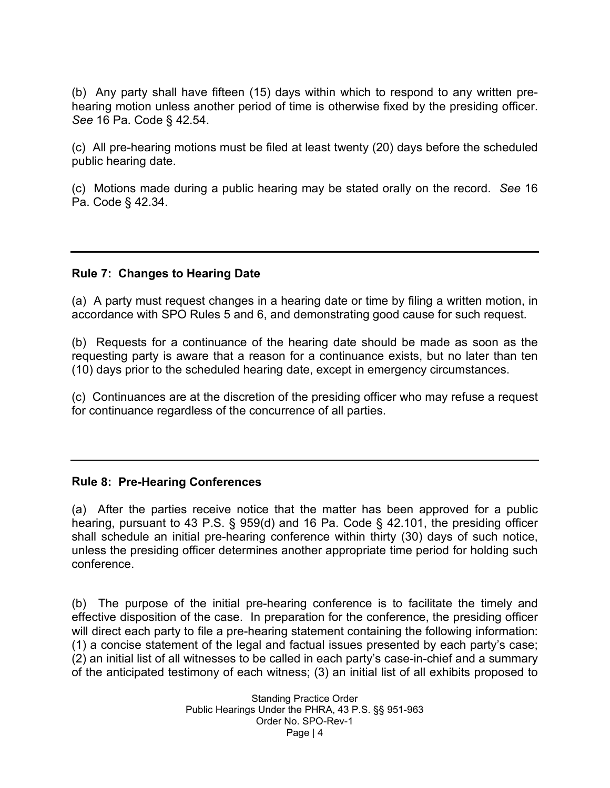(b) Any party shall have fifteen (15) days within which to respond to any written prehearing motion unless another period of time is otherwise fixed by the presiding officer. *See* 16 Pa. Code § 42.54.

(c) All pre-hearing motions must be filed at least twenty (20) days before the scheduled public hearing date.

(c) Motions made during a public hearing may be stated orally on the record. *See* 16 Pa. Code § 42.34.

#### **Rule 7: Changes to Hearing Date**

(a) A party must request changes in a hearing date or time by filing a written motion, in accordance with SPO Rules 5 and 6, and demonstrating good cause for such request.

(b) Requests for a continuance of the hearing date should be made as soon as the requesting party is aware that a reason for a continuance exists, but no later than ten (10) days prior to the scheduled hearing date, except in emergency circumstances.

(c) Continuances are at the discretion of the presiding officer who may refuse a request for continuance regardless of the concurrence of all parties.

#### **Rule 8: Pre-Hearing Conferences**

(a) After the parties receive notice that the matter has been approved for a public hearing, pursuant to 43 P.S. § 959(d) and 16 Pa. Code § 42.101, the presiding officer shall schedule an initial pre-hearing conference within thirty (30) days of such notice, unless the presiding officer determines another appropriate time period for holding such conference.

(b) The purpose of the initial pre-hearing conference is to facilitate the timely and effective disposition of the case. In preparation for the conference, the presiding officer will direct each party to file a pre-hearing statement containing the following information: (1) a concise statement of the legal and factual issues presented by each party's case; (2) an initial list of all witnesses to be called in each party's case-in-chief and a summary of the anticipated testimony of each witness; (3) an initial list of all exhibits proposed to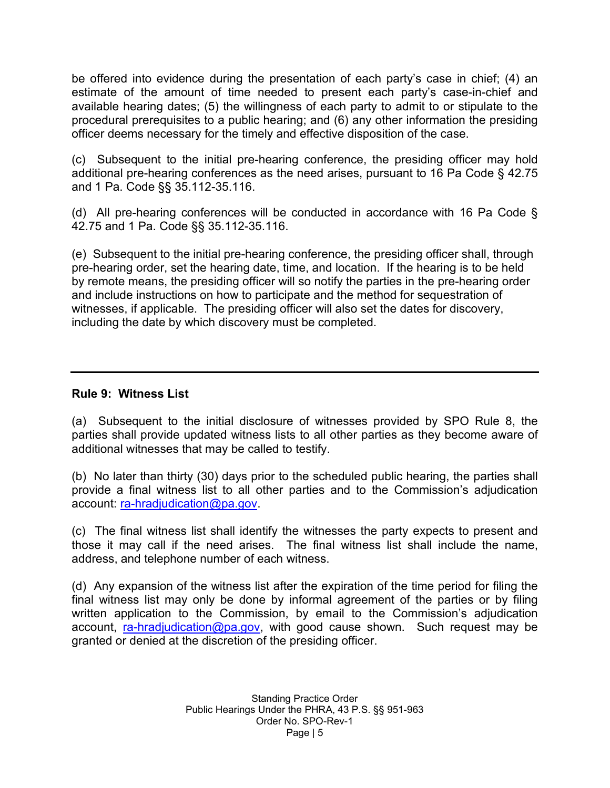be offered into evidence during the presentation of each party's case in chief; (4) an estimate of the amount of time needed to present each party's case-in-chief and available hearing dates; (5) the willingness of each party to admit to or stipulate to the procedural prerequisites to a public hearing; and (6) any other information the presiding officer deems necessary for the timely and effective disposition of the case.

(c) Subsequent to the initial pre-hearing conference, the presiding officer may hold additional pre-hearing conferences as the need arises, pursuant to 16 Pa Code § 42.75 and 1 Pa. Code §§ 35.112-35.116.

(d) All pre-hearing conferences will be conducted in accordance with 16 Pa Code § 42.75 and 1 Pa. Code §§ 35.112-35.116.

(e) Subsequent to the initial pre-hearing conference, the presiding officer shall, through pre-hearing order, set the hearing date, time, and location. If the hearing is to be held by remote means, the presiding officer will so notify the parties in the pre-hearing order and include instructions on how to participate and the method for sequestration of witnesses, if applicable. The presiding officer will also set the dates for discovery, including the date by which discovery must be completed.

#### **Rule 9: Witness List**

(a) Subsequent to the initial disclosure of witnesses provided by SPO Rule 8, the parties shall provide updated witness lists to all other parties as they become aware of additional witnesses that may be called to testify.

(b) No later than thirty (30) days prior to the scheduled public hearing, the parties shall provide a final witness list to all other parties and to the Commission's adjudication account: [ra-hradjudication@pa.gov.](mailto:ra-hradjudication@pa.gov)

(c) The final witness list shall identify the witnesses the party expects to present and those it may call if the need arises. The final witness list shall include the name, address, and telephone number of each witness.

(d) Any expansion of the witness list after the expiration of the time period for filing the final witness list may only be done by informal agreement of the parties or by filing written application to the Commission, by email to the Commission's adjudication account, [ra-hradjudication@pa.gov,](mailto:ra-hradjudication@pa.gov) with good cause shown. Such request may be granted or denied at the discretion of the presiding officer.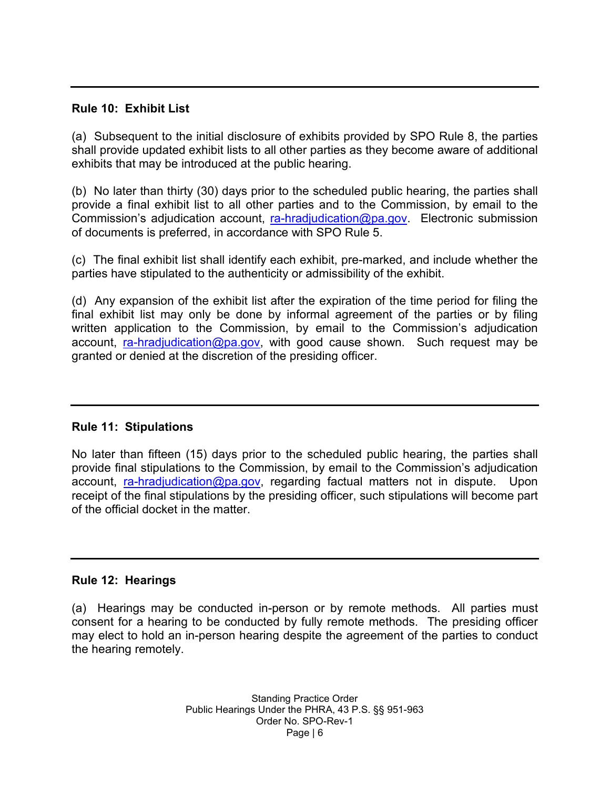#### **Rule 10: Exhibit List**

(a) Subsequent to the initial disclosure of exhibits provided by SPO Rule 8, the parties shall provide updated exhibit lists to all other parties as they become aware of additional exhibits that may be introduced at the public hearing.

(b) No later than thirty (30) days prior to the scheduled public hearing, the parties shall provide a final exhibit list to all other parties and to the Commission, by email to the Commission's adjudication account, [ra-hradjudication@pa.gov.](mailto:ra-hradjudication@pa.gov) Electronic submission of documents is preferred, in accordance with SPO Rule 5.

(c) The final exhibit list shall identify each exhibit, pre-marked, and include whether the parties have stipulated to the authenticity or admissibility of the exhibit.

(d) Any expansion of the exhibit list after the expiration of the time period for filing the final exhibit list may only be done by informal agreement of the parties or by filing written application to the Commission, by email to the Commission's adjudication account, [ra-hradjudication@pa.gov,](mailto:ra-hradjudication@pa.gov) with good cause shown. Such request may be granted or denied at the discretion of the presiding officer.

#### **Rule 11: Stipulations**

No later than fifteen (15) days prior to the scheduled public hearing, the parties shall provide final stipulations to the Commission, by email to the Commission's adjudication account, [ra-hradjudication@pa.gov,](mailto:ra-hradjudication@pa.gov) regarding factual matters not in dispute. Upon receipt of the final stipulations by the presiding officer, such stipulations will become part of the official docket in the matter.

#### **Rule 12: Hearings**

(a) Hearings may be conducted in-person or by remote methods. All parties must consent for a hearing to be conducted by fully remote methods. The presiding officer may elect to hold an in-person hearing despite the agreement of the parties to conduct the hearing remotely.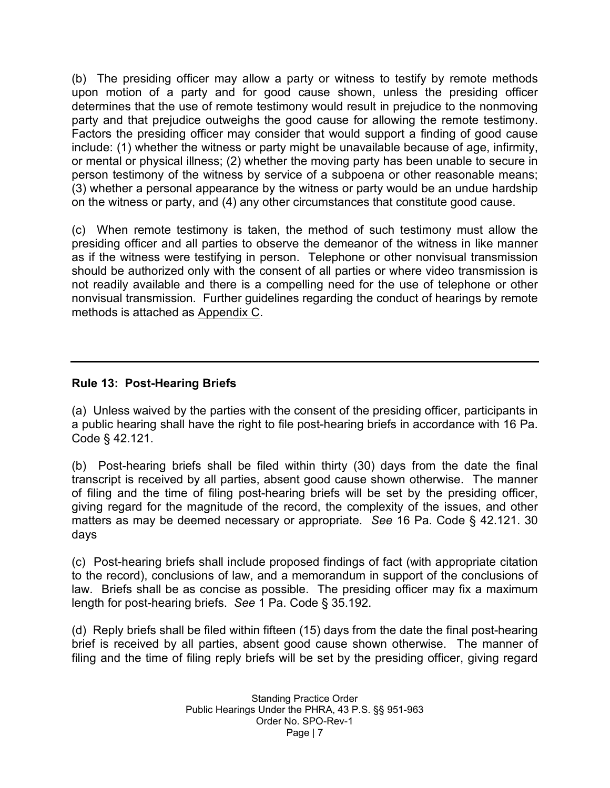(b) The presiding officer may allow a party or witness to testify by remote methods upon motion of a party and for good cause shown, unless the presiding officer determines that the use of remote testimony would result in prejudice to the nonmoving party and that prejudice outweighs the good cause for allowing the remote testimony. Factors the presiding officer may consider that would support a finding of good cause include: (1) whether the witness or party might be unavailable because of age, infirmity, or mental or physical illness; (2) whether the moving party has been unable to secure in person testimony of the witness by service of a subpoena or other reasonable means; (3) whether a personal appearance by the witness or party would be an undue hardship on the witness or party, and (4) any other circumstances that constitute good cause.

(c) When remote testimony is taken, the method of such testimony must allow the presiding officer and all parties to observe the demeanor of the witness in like manner as if the witness were testifying in person. Telephone or other nonvisual transmission should be authorized only with the consent of all parties or where video transmission is not readily available and there is a compelling need for the use of telephone or other nonvisual transmission. Further guidelines regarding the conduct of hearings by remote methods is attached as Appendix C.

### **Rule 13: Post-Hearing Briefs**

(a) Unless waived by the parties with the consent of the presiding officer, participants in a public hearing shall have the right to file post-hearing briefs in accordance with 16 Pa. Code § 42.121.

(b) Post-hearing briefs shall be filed within thirty (30) days from the date the final transcript is received by all parties, absent good cause shown otherwise. The manner of filing and the time of filing post-hearing briefs will be set by the presiding officer, giving regard for the magnitude of the record, the complexity of the issues, and other matters as may be deemed necessary or appropriate. *See* 16 Pa. Code § 42.121. 30 days

(c) Post-hearing briefs shall include proposed findings of fact (with appropriate citation to the record), conclusions of law, and a memorandum in support of the conclusions of law. Briefs shall be as concise as possible. The presiding officer may fix a maximum length for post-hearing briefs. *See* 1 Pa. Code § 35.192.

(d) Reply briefs shall be filed within fifteen (15) days from the date the final post-hearing brief is received by all parties, absent good cause shown otherwise. The manner of filing and the time of filing reply briefs will be set by the presiding officer, giving regard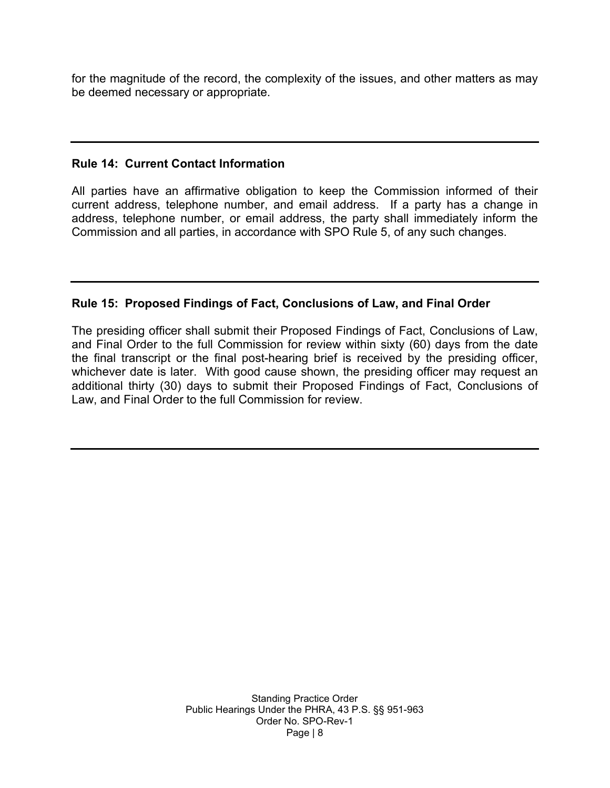for the magnitude of the record, the complexity of the issues, and other matters as may be deemed necessary or appropriate.

#### **Rule 14: Current Contact Information**

All parties have an affirmative obligation to keep the Commission informed of their current address, telephone number, and email address. If a party has a change in address, telephone number, or email address, the party shall immediately inform the Commission and all parties, in accordance with SPO Rule 5, of any such changes.

#### **Rule 15: Proposed Findings of Fact, Conclusions of Law, and Final Order**

The presiding officer shall submit their Proposed Findings of Fact, Conclusions of Law, and Final Order to the full Commission for review within sixty (60) days from the date the final transcript or the final post-hearing brief is received by the presiding officer, whichever date is later. With good cause shown, the presiding officer may request an additional thirty (30) days to submit their Proposed Findings of Fact, Conclusions of Law, and Final Order to the full Commission for review.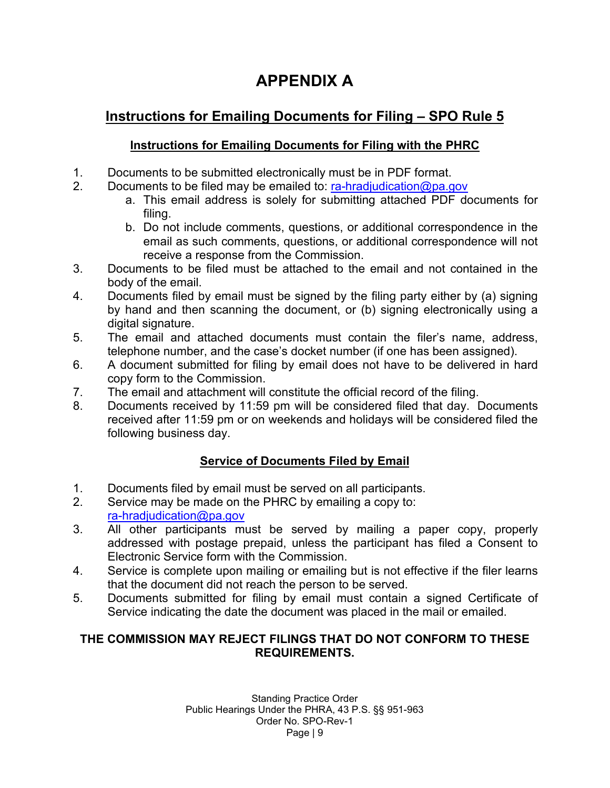# **APPENDIX A**

# **Instructions for Emailing Documents for Filing – SPO Rule 5**

# **Instructions for Emailing Documents for Filing with the PHRC**

- 1. Documents to be submitted electronically must be in PDF format.
- 2. Documents to be filed may be emailed to: [ra-hradjudication@pa.gov](mailto:ra-hradjudication@pa.gov)
	- a. This email address is solely for submitting attached PDF documents for filing.
	- b. Do not include comments, questions, or additional correspondence in the email as such comments, questions, or additional correspondence will not receive a response from the Commission.
- 3. Documents to be filed must be attached to the email and not contained in the body of the email.
- 4. Documents filed by email must be signed by the filing party either by (a) signing by hand and then scanning the document, or (b) signing electronically using a digital signature.
- 5. The email and attached documents must contain the filer's name, address, telephone number, and the case's docket number (if one has been assigned).
- 6. A document submitted for filing by email does not have to be delivered in hard copy form to the Commission.
- 7. The email and attachment will constitute the official record of the filing.
- 8. Documents received by 11:59 pm will be considered filed that day. Documents received after 11:59 pm or on weekends and holidays will be considered filed the following business day.

# **Service of Documents Filed by Email**

- 1. Documents filed by email must be served on all participants.
- 2. Service may be made on the PHRC by emailing a copy to: [ra-hradjudication@pa.gov](mailto:ra-hradjudication@pa.gov)
- 3. All other participants must be served by mailing a paper copy, properly addressed with postage prepaid, unless the participant has filed a Consent to Electronic Service form with the Commission.
- 4. Service is complete upon mailing or emailing but is not effective if the filer learns that the document did not reach the person to be served.
- 5. Documents submitted for filing by email must contain a signed Certificate of Service indicating the date the document was placed in the mail or emailed.

# **THE COMMISSION MAY REJECT FILINGS THAT DO NOT CONFORM TO THESE REQUIREMENTS.**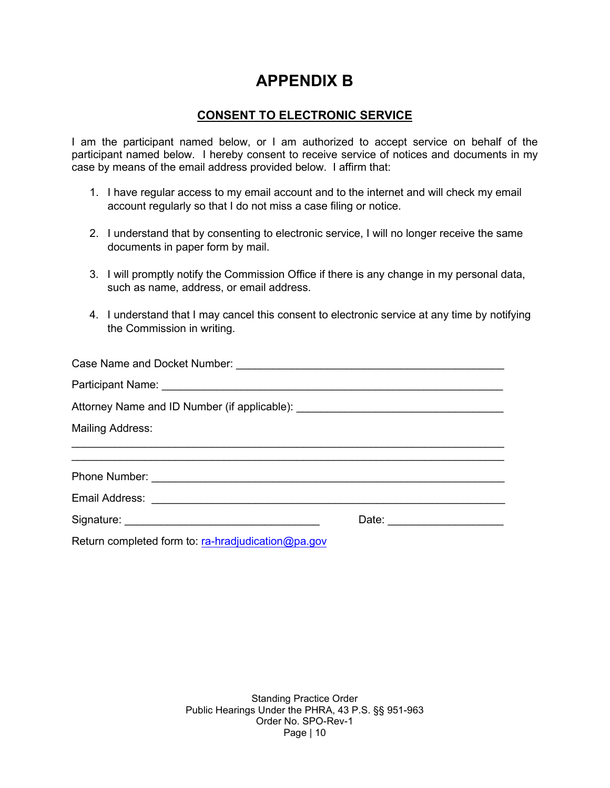# **APPENDIX B**

#### **CONSENT TO ELECTRONIC SERVICE**

I am the participant named below, or I am authorized to accept service on behalf of the participant named below. I hereby consent to receive service of notices and documents in my case by means of the email address provided below. I affirm that:

- 1. I have regular access to my email account and to the internet and will check my email account regularly so that I do not miss a case filing or notice.
- 2. I understand that by consenting to electronic service, I will no longer receive the same documents in paper form by mail.
- 3. I will promptly notify the Commission Office if there is any change in my personal data, such as name, address, or email address.
- 4. I understand that I may cancel this consent to electronic service at any time by notifying the Commission in writing.

| Attorney Name and ID Number (if applicable): ___________________________________ |                             |
|----------------------------------------------------------------------------------|-----------------------------|
| <b>Mailing Address:</b>                                                          |                             |
|                                                                                  |                             |
|                                                                                  |                             |
|                                                                                  |                             |
|                                                                                  | Date: _____________________ |
|                                                                                  |                             |

Return completed form to: [ra-hradjudication@pa.gov](mailto:ra-hradjudication@pa.gov)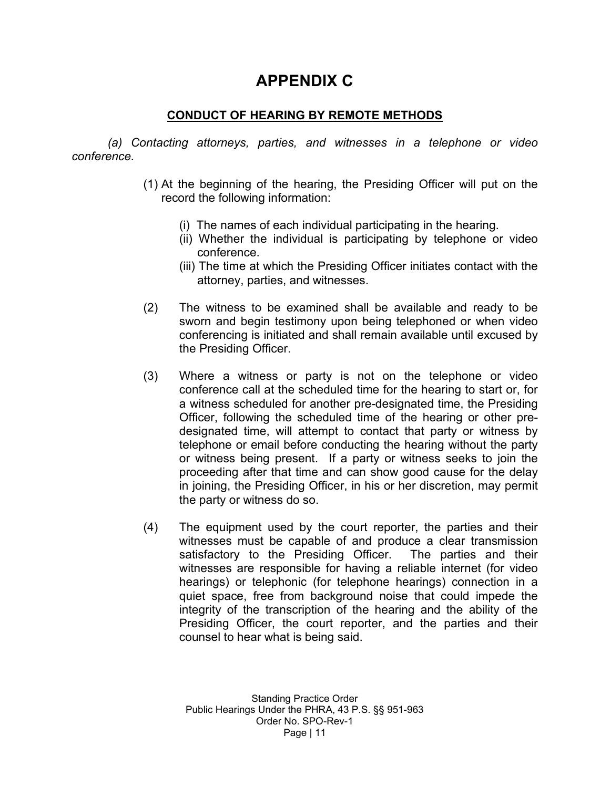# **APPENDIX C**

# **CONDUCT OF HEARING BY REMOTE METHODS**

*(a) Contacting attorneys, parties, and witnesses in a telephone or video conference.*

- (1) At the beginning of the hearing, the Presiding Officer will put on the record the following information:
	- (i) The names of each individual participating in the hearing.
	- (ii) Whether the individual is participating by telephone or video conference.
	- (iii) The time at which the Presiding Officer initiates contact with the attorney, parties, and witnesses.
- (2) The witness to be examined shall be available and ready to be sworn and begin testimony upon being telephoned or when video conferencing is initiated and shall remain available until excused by the Presiding Officer.
- (3) Where a witness or party is not on the telephone or video conference call at the scheduled time for the hearing to start or, for a witness scheduled for another pre-designated time, the Presiding Officer, following the scheduled time of the hearing or other predesignated time, will attempt to contact that party or witness by telephone or email before conducting the hearing without the party or witness being present. If a party or witness seeks to join the proceeding after that time and can show good cause for the delay in joining, the Presiding Officer, in his or her discretion, may permit the party or witness do so.
- (4) The equipment used by the court reporter, the parties and their witnesses must be capable of and produce a clear transmission satisfactory to the Presiding Officer. The parties and their witnesses are responsible for having a reliable internet (for video hearings) or telephonic (for telephone hearings) connection in a quiet space, free from background noise that could impede the integrity of the transcription of the hearing and the ability of the Presiding Officer, the court reporter, and the parties and their counsel to hear what is being said.